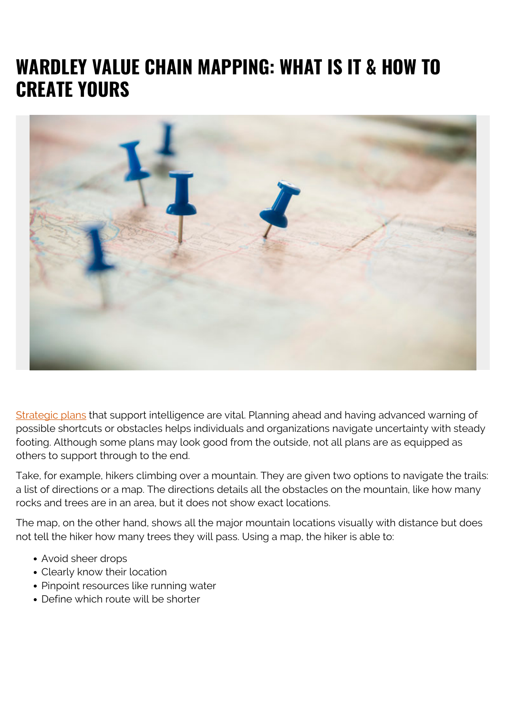# **WARDLEY VALUE CHAIN MAPPING: WHAT IS IT & HOW TO CREATE YOURS**



[Strategic plans](https://blogs.bmc.com/blogs/tranformation-digital-vs-business-vs-it/) that support intelligence are vital. Planning ahead and having advanced warning of possible shortcuts or obstacles helps individuals and organizations navigate uncertainty with steady footing. Although some plans may look good from the outside, not all plans are as equipped as others to support through to the end.

Take, for example, hikers climbing over a mountain. They are given two options to navigate the trails: a list of directions or a map. The directions details all the obstacles on the mountain, like how many rocks and trees are in an area, but it does not show exact locations.

The map, on the other hand, shows all the major mountain locations visually with distance but does not tell the hiker how many trees they will pass. Using a map, the hiker is able to:

- Avoid sheer drops
- Clearly know their location
- Pinpoint resources like running water
- Define which route will be shorter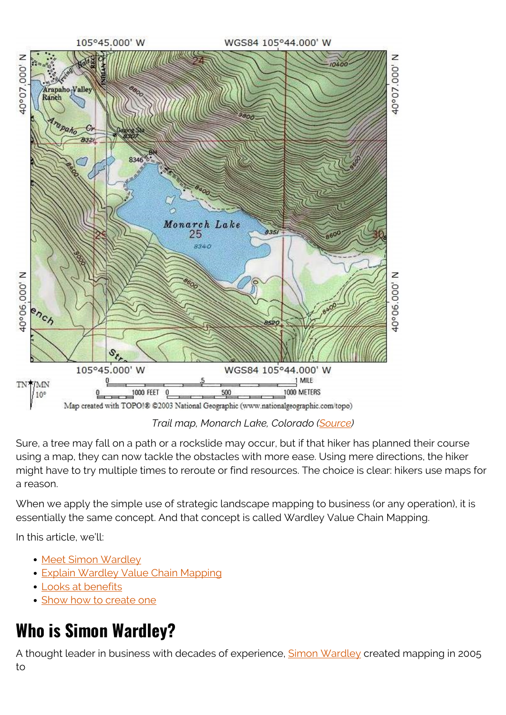

*Trail map, Monarch Lake, Colorado ([Source](https://www.protrails.com/))*

Sure, a tree may fall on a path or a rockslide may occur, but if that hiker has planned their course using a map, they can now tackle the obstacles with more ease. Using mere directions, the hiker might have to try multiple times to reroute or find resources. The choice is clear: hikers use maps for a reason.

When we apply the simple use of strategic landscape mapping to business (or any operation), it is essentially the same concept. And that concept is called Wardley Value Chain Mapping.

In this article, we'll:

- [Meet Simon Wardley](#page--1-0)
- **[Explain Wardley Value Chain Mapping](#page--1-0)**
- [Looks at benefits](#page--1-0)
- [Show how to create one](#page--1-0)

# **Who is Simon Wardley?**

A thought leader in business with decades of experience, **Simon Wardley** created mapping in 2005 to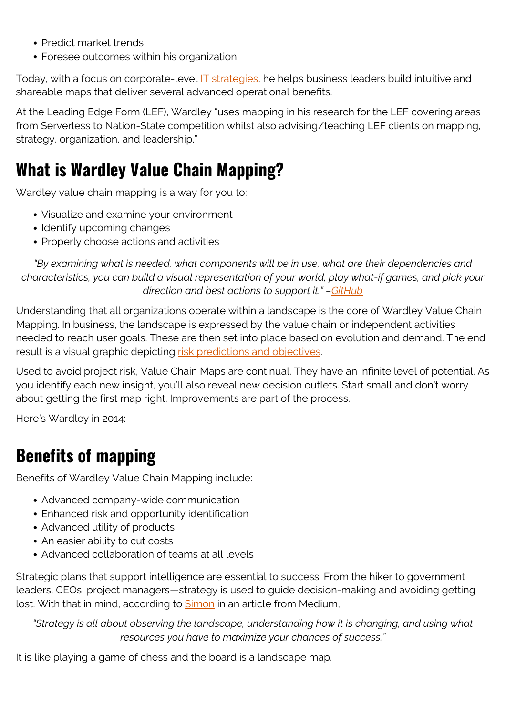- Predict market trends
- Foresee outcomes within his organization

Today, with a focus on corporate-level **IT** strategies, he helps business leaders build intuitive and shareable maps that deliver several advanced operational benefits.

At the Leading Edge Form (LEF), Wardley "uses mapping in his research for the LEF covering areas from Serverless to Nation-State competition whilst also advising/teaching LEF clients on mapping, strategy, organization, and leadership."

# **What is Wardley Value Chain Mapping?**

Wardley value chain mapping is a way for you to:

- Visualize and examine your environment
- Identify upcoming changes
- Properly choose actions and activities

*"By examining what is needed, what components will be in use, what are their dependencies and characteristics, you can build a visual representation of your world, play what-if games, and pick your direction and best actions to support it." –[GitHub](https://github.com/wardley-maps-community/awesome-wardley-maps)*

Understanding that all organizations operate within a landscape is the core of Wardley Value Chain Mapping. In business, the landscape is expressed by the value chain or independent activities needed to reach user goals. These are then set into place based on evolution and demand. The end result is a visual graphic depicting [risk predictions and objectives](https://blogs.bmc.com/blogs/grc-governance-risk-compliance/).

Used to avoid project risk, Value Chain Maps are continual. They have an infinite level of potential. As you identify each new insight, you'll also reveal new decision outlets. Start small and don't worry about getting the first map right. Improvements are part of the process.

Here's Wardley in 2014:

### **Benefits of mapping**

Benefits of Wardley Value Chain Mapping include:

- Advanced company-wide communication
- Enhanced risk and opportunity identification
- Advanced utility of products
- An easier ability to cut costs
- Advanced collaboration of teams at all levels

Strategic plans that support intelligence are essential to success. From the hiker to government leaders, CEOs, project managers—strategy is used to guide decision-making and avoiding getting lost. With that in mind, according to **Simon** in an article from Medium,

*"Strategy is all about observing the landscape, understanding how it is changing, and using what resources you have to maximize your chances of success."*

It is like playing a game of chess and the board is a landscape map.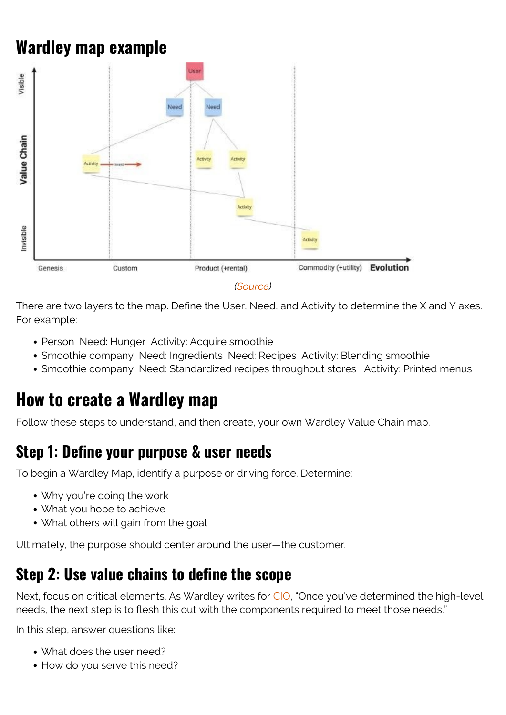# **Wardley map example**



There are two layers to the map. Define the User, Need, and Activity to determine the X and Y axes. For example:

- Person Need: Hunger Activity: Acquire smoothie
- Smoothie company Need: Ingredients Need: Recipes Activity: Blending smoothie
- Smoothie company Need: Standardized recipes throughout stores Activity: Printed menus

### **How to create a Wardley map**

Follow these steps to understand, and then create, your own Wardley Value Chain map.

#### **Step 1: Define your purpose & user needs**

To begin a Wardley Map, identify a purpose or driving force. Determine:

- Why you're doing the work
- What you hope to achieve
- What others will gain from the goal

Ultimately, the purpose should center around the user—the customer.

#### **Step 2: Use value chains to define the scope**

Next, focus on critical elements. As Wardley writes for [CIO,](https://www.cio.com/article/3526687/an-introduction-to-wardley-value-chain-mapping.html) "Once you've determined the high-level needs, the next step is to flesh this out with the components required to meet those needs."

In this step, answer questions like:

- What does the user need?
- How do you serve this need?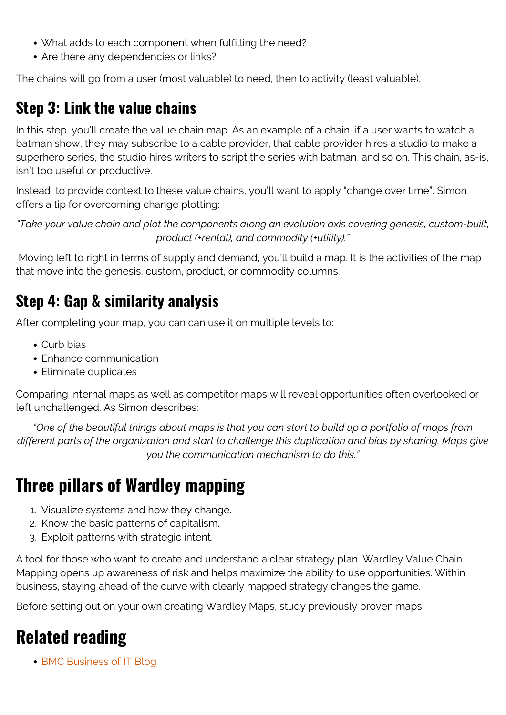- What adds to each component when fulfilling the need?
- Are there any dependencies or links?

The chains will go from a user (most valuable) to need, then to activity (least valuable).

### **Step 3: Link the value chains**

In this step, you'll create the value chain map. As an example of a chain, if a user wants to watch a batman show, they may subscribe to a cable provider, that cable provider hires a studio to make a superhero series, the studio hires writers to script the series with batman, and so on. This chain, as-is, isn't too useful or productive.

Instead, to provide context to these value chains, you'll want to apply "change over time". Simon offers a tip for overcoming change plotting:

*"Take your value chain and plot the components along an evolution axis covering genesis, custom-built, product (+rental), and commodity (+utility)."*

 Moving left to right in terms of supply and demand, you'll build a map. It is the activities of the map that move into the genesis, custom, product, or commodity columns.

### **Step 4: Gap & similarity analysis**

After completing your map, you can can use it on multiple levels to:

- Curb bias
- Enhance communication
- Eliminate duplicates

Comparing internal maps as well as competitor maps will reveal opportunities often overlooked or left unchallenged. As Simon describes:

*"One of the beautiful things about maps is that you can start to build up a portfolio of maps from different parts of the organization and start to challenge this duplication and bias by sharing. Maps give you the communication mechanism to do this."*

# **Three pillars of Wardley mapping**

- 1. Visualize systems and how they change.
- 2. Know the basic patterns of capitalism.
- 3. Exploit patterns with strategic intent.

A tool for those who want to create and understand a clear strategy plan, Wardley Value Chain Mapping opens up awareness of risk and helps maximize the ability to use opportunities. Within business, staying ahead of the curve with clearly mapped strategy changes the game.

Before setting out on your own creating Wardley Maps, study previously proven maps.

# **Related reading**

• [BMC Business of IT Blog](https://blogs.bmc.com/blogs/categories/business-of-it/)